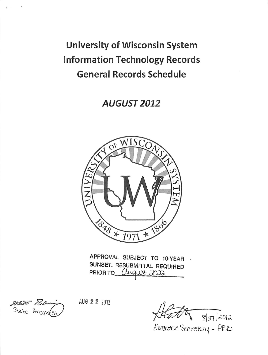*University of Wisconsin System Information Technology Records General Records Schedule*

*AUGUST 2012*



*APPROVAL SUBJECT TO 10-YEAR SUNSET. RESUBMITTAL REQUIRED PRIOR TO* **GLuQWt? 3Q^k**

Mate Bo State Arcylvas

AUG **22** 2012

8/27 /2012

Executive Secretary - PRB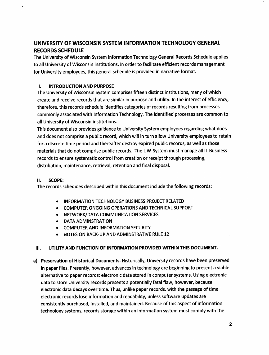# *UNIVERSITY OF WISCONSIN SYSTEM INFORMATION TECHNOLOGY GENERAL RECORDS SCHEDULE*

The Universityof Wisconsin System Information Technology General Records Schedule applies to all University of Wisconsin institutions. In order to facilitate efficient records management for University employees, this general schedule is provided in narrative format.

## *I. INTRODUCTION AND PURPOSE*

The University of Wisconsin System comprises fifteen distinct institutions, many of which create and receive records that are similar in purpose and utility. In the interest of efficiency, therefore, this records schedule identifies categories of records resulting from processes commonly associated with Information Technology. The identified processes are common to all University of Wisconsin institutions.

This document also provides guidance to University System employees regarding what does and does not comprise a public record, which will in turn allow University employees to retain for a discrete time period and thereafter destroy expired public records, as well as those materials that do not comprise public records. The UW-System must manage all IT Business records to ensure systematic control from creation or receipt through processing, distribution, maintenance, retrieval, retention and final disposal.

## *II. SCOPE:*

The records schedules described within this document include the following records:

- INFORMATION TECHNOLOGY BUSINESS PROJECT RELATED
- COMPUTER ONGOING OPERATIONS AND TECHNICAL SUPPORT
- NETWORK/DATA COMMUNICATION SERVICES
- DATA ADMINSTRATION
- COMPUTER AND INFORMATION SECURITY
- NOTES ON BACK-UP AND ADMINSTRATIVE RULE 12

## *III. UTILITY AND FUNCTION OF INFORMATION PROVIDED WITHIN THIS DOCUMENT.*

*a) Preservation of Historical Documents.* Historically, University records have been preserved in paper files. Presently, however, advances in technology are beginning to present a viable alternative to paper records: electronic data stored in computer systems. Using electronic data to store University records presents a potentially fatal flaw, however, because electronic data decays over time. Thus, unlike paper records, with the passage of time electronic records lose information and readability, unless software updates are consistently purchased, installed, and maintained. Because of this aspect of information technology systems, records storage within an information system must comply with the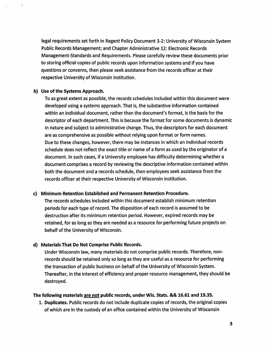legal requirements set forth in Regent Policy Document 3-2: University of Wisconsin System Public Records Management; and Chapter Administrative 12: Electronic Records Management-Standards and Requirements. Please carefully review these documents prior to storing official copies of public records upon information systems and if you have questions or concerns, then please seek assistance from the records officer at their respective University of Wisconsin institution.

#### *b) Use ofthe Systems Approach.*

To as great extent as possible, the records schedules included within this document were developed using a systems approach. That is, the substantive information contained within an individual document, rather than the document's format, is the basis for the descriptor of each department. This is because the format for some documents is dynamic in nature and subject to administrative change. Thus, the descriptors for each document are as comprehensive as possible without relying upon format or form names. Due to these changes, however, there may be instances in which an individual records schedule does not reflect the exact title or name of a form as used by the originator of a document. In such cases, if a University employee has difficulty determining whether a document comprises a record by reviewing the descriptive information contained within both the document and a records schedule, then employees seek assistance from the records officer at their respective University of Wisconsin institution.

#### *c) Minimum Retention Established and Permanent Retention Procedure.*

The records schedules included within this document establish minimum retention periods for each type of record. The disposition of each record is assumed to be destruction after its minimum retention period. However, expired records may be retained, for as long as they are needed as a resource for performing future projects on behalf of the University of Wisconsin.

#### *d) Materials That Do Not Comprise Public Records.*

Under Wisconsin law, many materials do not comprise public records. Therefore, nonrecords should be retained only so long as they are useful as a resource for performing the transaction of public business on behalf of the University of Wisconsin System. Thereafter, in the interest of efficiency and proper resource management, they should be destroyed.

#### *The following materials are not public records, under Wis. Stats. && 16.61 and 19.35.*

*1. Duplicates.* Public records do not include duplicate copies of records, the original copies of which are in the custody of an office contained within the University of Wisconsin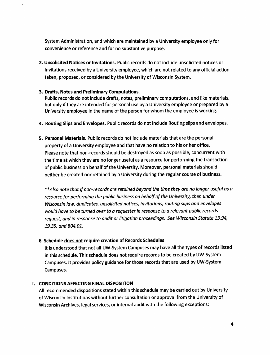System Administration, and which are maintained by a University employee only for convenience or reference and for no substantive purpose.

*2. Unsolicited Notices or Invitations.* Public records do not include unsolicited notices or invitations received by a University employee, which are not related to any official action taken, proposed, or considered by the University of Wisconsin System.

## *3. Drafts, Notes and Preliminary Computations.*

Public records do not include drafts, notes, preliminary computations, and like materials, but only ifthey are intended for personal use by a University employee or prepared by a University employee in the name of the person for whom the employee is working.

- *4. Routing Slips and Envelopes.* Publicrecords do not include Routing slips and envelopes.
- *5. Personal Materials.* Public records do not include materials that are the personal property of a University employee and that have no relation to his or her office. Please note that non-records should be destroyed as soon as possible, concurrent with the time at which they are no longer useful as a resource for performing the transaction of public business on behalf of the University. Moreover, personal materials should neither be created nor retained by a University during the regular course of business.

\*M/so **note that ifnon-records are retained beyond the timethey are no longerusefulas a resourcefor performing the public business on behalfof the University, thenunder Wisconsin law, duplicates, unsolicited notices, invitations, routing slips and envelopes would have to be turned over to a requester inresponseto a relevantpublic records request, andinresponse to auditorlitigation proceedings. See Wisconsin Statute 13.94, 19.35, and 804.01.**

## *6. Schedule does not require creation of Records Schedules*

It is understood that not all UW-System Campuses may have all the types of records listed in this schedule. This schedule does not require records to be created by UW-System Campuses. It provides policy guidance for those records that are used by UW-System Campuses.

## *I. CONDITIONS AFFECTING FINAL DISPOSITION*

All recommended dispositions stated within this schedule may be carried out by University of Wisconsin institutions without further consultation or approval from the University of Wisconsin Archives, legal services, or internal audit with the following exceptions: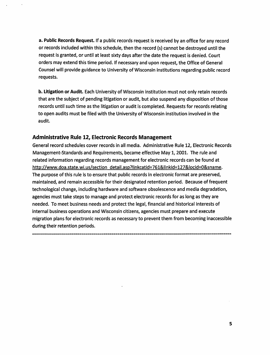**a. Public Records Request.** If a public records request is received by an office for any record or records included within this schedule, then the record (s) cannot be destroyed until the request is granted, or until at least sixty days after the date the request is denied. Court orders may extend this time period. If necessary and upon request, the Office of General Counsel will provide guidance to University of Wisconsin institutions regarding public record requests.

*b. Litigation or Audit.* Each University of Wisconsin institution must not only retain records that are the subject of pending litigation or audit, but also suspend any disposition of those records until such time as the litigation or audit is completed. Requests for records relating to open audits must be filed with the University of Wisconsin institution involved in the audit.

# *Administrative Rule 12, Electronic Records Management*

General record schedules cover records in all media. Administrative Rule 12, Electronic Records Management-Standards and Requirements, became effective May 1,2001. The rule and related information regarding records management for electronic records can be found at http://www.doa.state.wi.us/section detail.asp?linkcatid=761&linkid=127&locid=0&sname. The purpose of this rule is to ensure that public records in electronic format are preserved, maintained, and remain accessible for their designated retention period. Because of frequent technological change, including hardware and software obsolescence and media degradation, agencies must take steps to manage and protect electronic records for as long as they are needed. To meet business needs and protect the legal, financial and historical interests of internal business operations and Wisconsin citizens, agencies must prepare and execute migration plans for electronic records as necessary to prevent them from becoming inaccessible during their retention periods.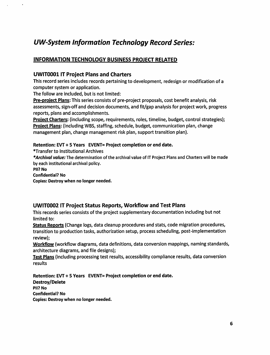# *UW-System Information Technology Record Series:*

# *INFORMATION TECHNOLOGY BUSINESS PROJECT RELATED*

# *UWIT0001 IT Project Plans and Charters*

This record series includes records pertaining to development, redesign or modification of a computer system or application.

The follow are included, but is not limited:

*Pre-proiect Plans:* This series consists of pre-project proposals, cost benefit analysis, risk assessments, sign-off and decision documents, and fit/gap analysis for project work, progress reports, plans and accomplishments.

*Project Charters:* (including scope, requirements, roles, timeline, budget, control strategies); *Project Plans:* (including WBS, staffing, schedule, budget, communication plan, change management plan, change management risk plan, support transition plan).

# *Retention: EVT+ 5 Years EVENT= Project completion or end date.*

♦Transferto Institutional Archives

**\*Archival value:** The determination of the archival value of ITProject Plans and Charters will be made by each institutional archival policy.

*Pll? No*

Confidential? *No*

Copies: Destroy when no longer needed.

# *UWIT0002 IT Project Status Reports, Workflow and Test Plans*

This records series consists of the project supplementary documentation including but not limited to:

*Status Reports* (Change logs, data cleanup procedures and stats, code migration procedures, transition to production tasks, authorization setup, process scheduling, post-implementation review);

*Workflow* (workflow diagrams, data definitions, data conversion mappings, naming standards, architecture diagrams, and file designs);

*Test Plans*(including processing test results, accessibility compliance results, data conversion results

*Retention: EVT+ 5 Years EVENT= Project completion or end date. Destroy/Delete Pll? No Confidential? No Copies:* Destroy when no *longer* needed.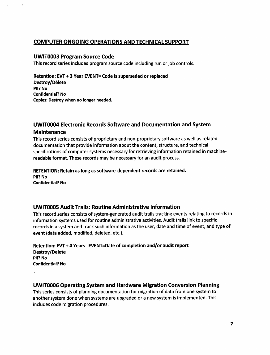# *COMPUTER ONGOING OPERATIONS AND TECHNICAL SUPPORT*

# *UWIT0003 Program Source Code*

This record series includes program source code including run or job controls.

Retention: EVT+ 3 Year EVENT= Code is superseded or replaced Destroy/Delete Pll? No Confidential? No Copies: Destroy when no longer needed.

# *UWIT0004 Electronic Records Software and Documentation and System*

# *Maintenance*

This record series consists of proprietary and non-proprietary software as well as related documentation that provide information about the content, structure, and technical specifications of computer systems necessary for retrieving information retained in machinereadable format. These records may be necessary for an audit process.

#### RETENTION: Retain as long as software-dependent records are retained. Pll? No

Confidential? No

# *UWIT0005 Audit Trails: Routine Administrative Information*

This record series consists of system-generated audit trails tracking events relating to records in information systems used for routine administrative activities. Audit trails link to specific records in a system and track such information as the user, date and time of event, and type of event (data added, modified, deleted, etc.).

Retention: EVT + 4 Years EVENT=Date of completion and/or audit report Destroy/Delete Pll? No Confidential? No

# *UWIT0006 Operating System and Hardware Migration Conversion Planning*

This series consists of planning documentation for migration of data from one system to another system done when systems are upgraded or a new system is implemented. This includes code migration procedures.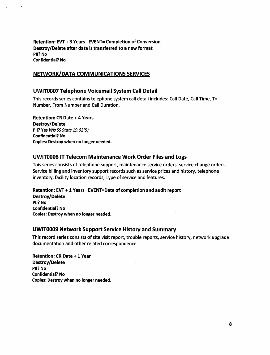*Retention: EVT+ 3 Years EVENT= Completion of Conversion Destroy/Delete after data istransferred to a new format* Pll? No Confidential? No

# *NETWORK/DATA COMMUNICATIONS SERVICES*

# *UWIT0007 Telephone Voicemail System Call Detail*

This records series contains telephone system call detail includes: Call Date, CallTime, To Number, From Number and Call Duration.

*Retention: CR Date + 4 Years Destroy/Delete Pll?* Yes **WisSSStats 19.62(5)** Confidential? No Copies: Destroy when no longer needed.

# *UWIT0008 ITTelecom Maintenance Work Order Files and Logs*

This series consists of telephone support, maintenance service orders, service change orders, Service billing and inventory support records such as service prices and history, telephone inventory, facility location records, Type of service and features.

## *Retention: EVT+1 Years EVENT=Date of completion and audit report*

*Destroy/Delete Pll? No* Confidential? No Copies: Destroy when no longer needed.

## *UWIT0009 Network Support Service History and Summary*

This record series consists of site visit report, trouble reports, service history, network upgrade documentation and other related correspondence.

*Retention: CR Date +1 Year Destroy/Delete Pll? No* Confidential? *No* Copies: Destroy when no longer needed.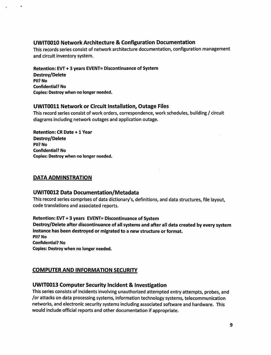# *UWIT0010 Network Architecture & Configuration Documentation*

This records series consist of network architecture documentation, configuration management and circuit inventory system.

Retention: EVT + 3 years EVENT= Discontinuance of System Destroy/Delete Pll? No Confidential? No Copies: Destroy when no longer needed.

# *UWIT0011 Network or Circuit Installation, Outage Files*

This record series consist of work orders, correspondence, work schedules, building / circuit diagrams including network outages and application outage.

Retention: CR Date +1 Year Destroy/Delete Pll? No Confidential? No Copies: Destroy when no longer needed.

# *DATA ADMINSTRATION*

## *UWIT0012 Data Documentation/Metadata*

This record series comprises of data dictionary's, definitions, and data structures, file layout, code translations and associated reports.

Retention: EVT + 3 years EVENT= Discontinuance of System Destroy/Delete after discontinuance of all systems and after all data created by every system instance has been destroyed or migrated to a new structure or format. Pll? No Confidential? No Copies: Destroy when no longer needed.

# *COMPUTER AND INFORMATION SECURITY*

# *UWIT0013 Computer Security Incident* & *Investigation*

Thisseries consists of incidents involving unauthorized attempted entry attempts, probes, and /or attacks on data processing systems,information technologysystems, telecommunication networks, and electronic security systems including associated software and hardware. This would include official reports and other documentation if appropriate.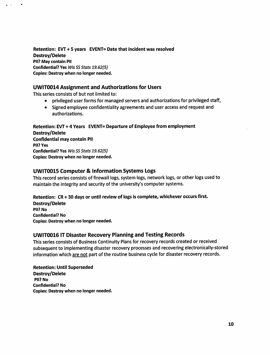*Retention: EVT + 5 years EVENT= Date that incident was resolved Destroy/Delete Pll? May contain Pll* **Confidential? Yes Wis SS Stats 19.62(5)** *Copies: Destroy when no longer needed.*

# *UWIT0014 Assignment and Authorizations for Users*

This series consists of but not limited to:

 $\bullet$ 

- privileged user forms for managed servers and authorizations for privileged staff,
- Signed employee confidentiality agreements and user access and request and authorizations.

*Retention: EVT +4 Years EVENT= Departure of Employee from employment Destroy/Delete Confidential may contain Pll Pll? Yes* **Confidential?** Yes *Wis SS Stats* 19.62(5) *Copies: Destroy when no longer needed.*

# *UWIT0015 Computer & Information Systems Logs*

This record series consists of firewall logs, system logs, network logs, or other logs used to maintain the integrity and security of the university's computer systems.

#### *Retention: CR +30 days or until review of logs is complete, whichever occurs first.*

*Destroy/Delete Pll? No Confidential? No Copies: Destroy when no longer needed.*

# *UWIT0016 IT Disaster Recovery Planning and Testing Records*

Thisseries consists of Business Continuity Plans for recovery records created or received subsequent to implementing disaster recovery processes and recovering electronically-stored information which are not part of the routine business cycle for disaster recovery records.

*Retention: Until Superseded Destroy/Delete Pll? No Confidential? No Copies: Destroy when no longer needed.*